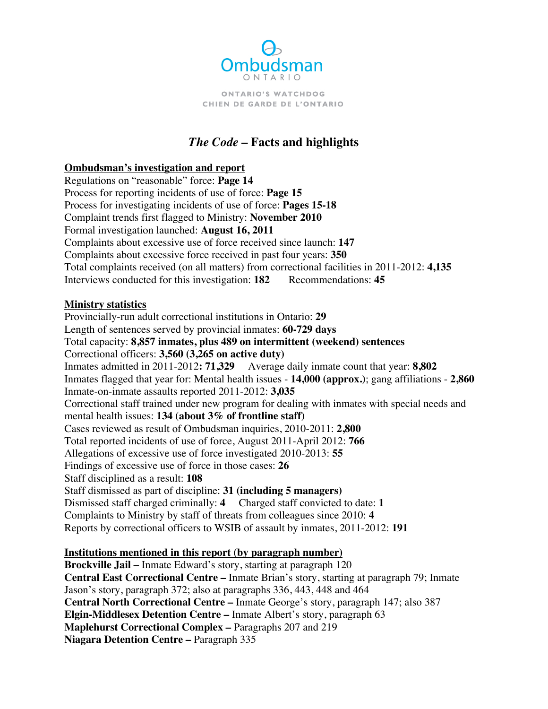

**ONTARIO'S WATCHDOG** CHIEN DE GARDE DE L'ONTARIO

# *The Code* **–Facts and highlights**

#### **Ombudsman's investigation and report**

Regulations on "reasonable" force: **Page 14** Process for reporting incidents of use of force: **Page 15** Process for investigating incidents of use of force: **Pages 15-18**  Complaint trends first flagged to Ministry: **November 2010**  Formal investigation launched: **August 16, 2011** Complaints about excessive use of force received since launch: **147**  Complaints about excessive force received in past four years: **350**  Total complaints received (on all matters) from correctional facilities in 2011-2012: **4,135** Interviews conducted for this investigation: 182 Recommendations: 45

#### **Ministry statistics**

Provincially-run adult correctional institutions in Ontario: **29**  Length of sentences served by provincial inmates: **60-729 days**  Total capacity: **8,857 inmates, plus 489 on intermittent (weekend) sentences** Correctional officers: **3,560 (3,265 on active duty)** Inmates admitted in 2011-2012**: 71,329** Average daily inmate count that year: **8,802** Inmates flagged that year for: Mental health issues - **14,000 (approx.)**; gang affiliations - **2,860** Inmate-on-inmate assaults reported 2011-2012: **3,035** Correctional staff trained under new program for dealing with inmates with special needs and mental health issues: **134 (about 3% of frontline staff)** Cases reviewed as result of Ombudsman inquiries, 2010-2011: **2,800** Total reported incidents of use of force, August 2011-April 2012: **766**  Allegations of excessive use of force investigated 2010-2013: **55**  Findings of excessive use of force in those cases: **26**  Staff disciplined as a result: **108**  Staff dismissed as part of discipline: **31 (including 5 managers)**  Dismissed staff charged criminally: **4** Charged staff convicted to date: **1**  Complaints to Ministry by staff of threats from colleagues since 2010: **4**  Reports by correctional officers to WSIB of assault by inmates, 2011-2012: **191** 

## **Institutions mentioned in this report (by paragraph number)**

**Brockville Jail –** Inmate Edward's story, starting at paragraph 120 **Central East Correctional Centre –** Inmate Brian's story, starting at paragraph 79; Inmate Jason's story, paragraph 372; also at paragraphs 336, 443, 448 and 464 **Central North Correctional Centre –** Inmate George's story, paragraph 147; also 387 **Elgin-Middlesex Detention Centre –** Inmate Albert's story, paragraph 63 **Maplehurst Correctional Complex –** Paragraphs 207 and 219 **Niagara Detention Centre –** Paragraph 335